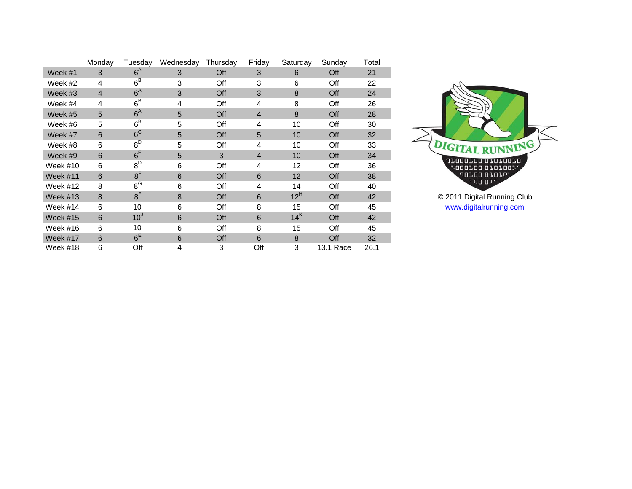|                 | Monday         | Tuesdav         | Wednesday | Thursday | Friday         | Saturday          | Sunday    | Total |
|-----------------|----------------|-----------------|-----------|----------|----------------|-------------------|-----------|-------|
| Week #1         | 3              | $6^{\text{A}}$  | 3         | Off      | 3              | 6                 | Off       | 21    |
| Week #2         | 4              | $6^B$           | 3         | Off      | 3              | 6                 | Off       | 22    |
| Week #3         | $\overline{4}$ | 6 <sup>A</sup>  | 3         | Off      | 3              | 8                 | Off       | 24    |
| Week #4         | 4              | $6^B$           | 4         | Off      | 4              | 8                 | Off       | 26    |
| Week #5         | 5              | $6^{\text{A}}$  | 5         | Off      | $\overline{4}$ | 8                 | Off       | 28    |
| Week #6         | 5              | $6^B$           | 5         | Off      | 4              | 10                | Off       | 30    |
| Week #7         | 6              | 6 <sup>C</sup>  | 5         | Off      | 5              | 10                | Off       | 32    |
| Week #8         | 6              | $8^D$           | 5         | Off      | 4              | 10                | Off       | 33    |
| Week #9         | 6              | $6^E$           | 5         | 3        | $\overline{4}$ | 10                | Off       | 34    |
| Week #10        | 6              | $8^D$           | 6         | Off      | 4              | $12 \overline{ }$ | Off       | 36    |
| Week $#11$      | 6              | 8 <sup>F</sup>  | 6         | Off      | 6              | 12                | Off       | 38    |
| Week #12        | 8              | $8^G$           | 6         | Off      | 4              | 14                | Off       | 40    |
| Week $#13$      | 8              | 8 <sup>F</sup>  | 8         | Off      | 6              | $12^H$            | Off       | 42    |
| Week #14        | 6              | 10 <sup>1</sup> | 6         | Off      | 8              | 15                | Off       | 45    |
| <b>Week #15</b> | 6              | 10 <sup>J</sup> | 6         | Off      | 6              | 14 <sup>K</sup>   | Off       | 42    |
| Week #16        | 6              | 10 <sup>1</sup> | 6         | Off      | 8              | 15                | Off       | 45    |
| Week #17        | 6              | $6^E$           | 6         | Off      | 6              | 8                 | Off       | 32    |
| Week #18        | 6              | Off             | 4         | 3        | Off            | 3                 | 13.1 Race | 26.1  |



[www.digitalrunning.com](http://www.digitalrunning.com/)